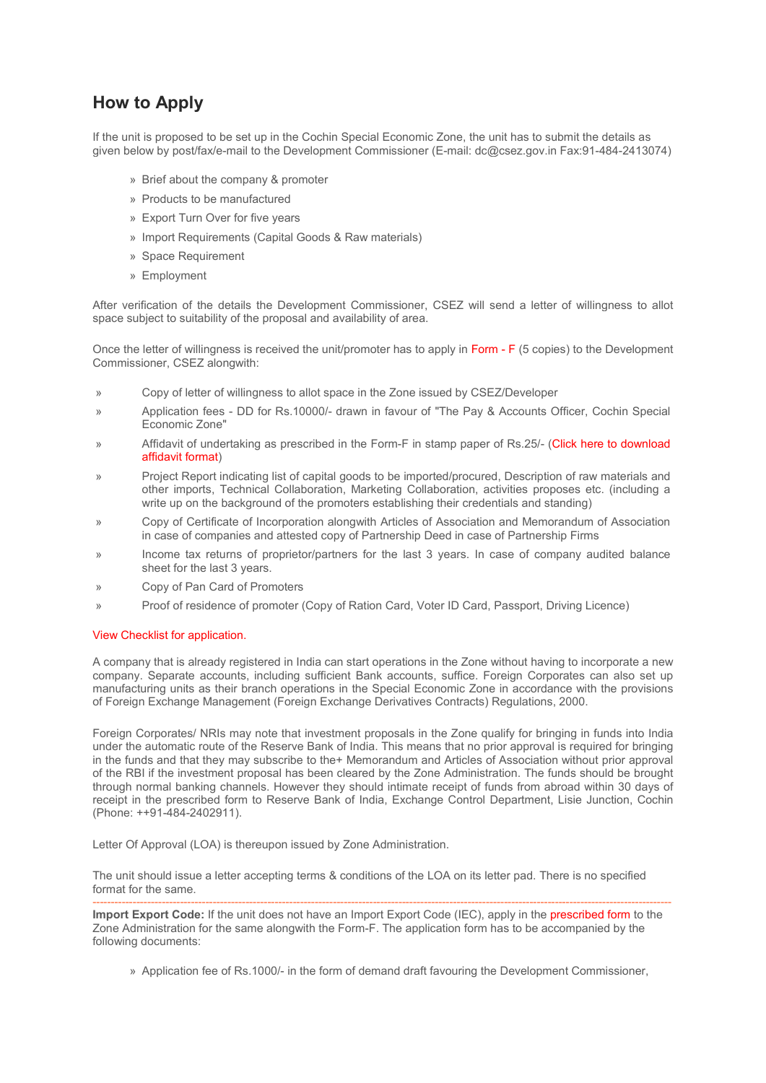## **How to Apply**

If the unit is proposed to be set up in the Cochin Special Economic Zone, the unit has to submit the details as given below by post/fax/e-mail to the Development Commissioner (E-mail: dc@csez.gov.in Fax:91-484-2413074)

- » Brief about the company & promoter
- » Products to be manufactured
- » Export Turn Over for five years
- » Import Requirements (Capital Goods & Raw materials)
- » Space Requirement
- » Employment

After verification of the details the Development Commissioner, CSEZ will send a letter of willingness to allot space subject to suitability of the proposal and availability of area.

Once the letter of willingness is received the unit/promoter has to apply in Form - F (5 copies) to the Development Commissioner, CSEZ alongwith:

- » Copy of letter of willingness to allot space in the Zone issued by CSEZ/Developer
- » Application fees DD for Rs.10000/- drawn in favour of "The Pay & Accounts Officer, Cochin Special Economic Zone"
- » Affidavit of undertaking as prescribed in the Form-F in stamp paper of Rs.25/- (Click here to download affidavit format)
- » Project Report indicating list of capital goods to be imported/procured, Description of raw materials and other imports, Technical Collaboration, Marketing Collaboration, activities proposes etc. (including a write up on the background of the promoters establishing their credentials and standing)
- » Copy of Certificate of Incorporation alongwith Articles of Association and Memorandum of Association in case of companies and attested copy of Partnership Deed in case of Partnership Firms
- » Income tax returns of proprietor/partners for the last 3 years. In case of company audited balance sheet for the last 3 years.
- » Copy of Pan Card of Promoters
- » Proof of residence of promoter (Copy of Ration Card, Voter ID Card, Passport, Driving Licence)

## View Checklist for application.

A company that is already registered in India can start operations in the Zone without having to incorporate a new company. Separate accounts, including sufficient Bank accounts, suffice. Foreign Corporates can also set up manufacturing units as their branch operations in the Special Economic Zone in accordance with the provisions of Foreign Exchange Management (Foreign Exchange Derivatives Contracts) Regulations, 2000.

Foreign Corporates/ NRIs may note that investment proposals in the Zone qualify for bringing in funds into India under the automatic route of the Reserve Bank of India. This means that no prior approval is required for bringing in the funds and that they may subscribe to the+ Memorandum and Articles of Association without prior approval of the RBI if the investment proposal has been cleared by the Zone Administration. The funds should be brought through normal banking channels. However they should intimate receipt of funds from abroad within 30 days of receipt in the prescribed form to Reserve Bank of India, Exchange Control Department, Lisie Junction, Cochin (Phone: ++91-484-2402911).

Letter Of Approval (LOA) is thereupon issued by Zone Administration.

The unit should issue a letter accepting terms & conditions of the LOA on its letter pad. There is no specified format for the same.

--------------------------------------------------------------------------------------------------------------------------------------------------------------- **Import Export Code:** If the unit does not have an Import Export Code (IEC), apply in the prescribed form to the Zone Administration for the same alongwith the Form-F. The application form has to be accompanied by the following documents:

» Application fee of Rs.1000/- in the form of demand draft favouring the Development Commissioner,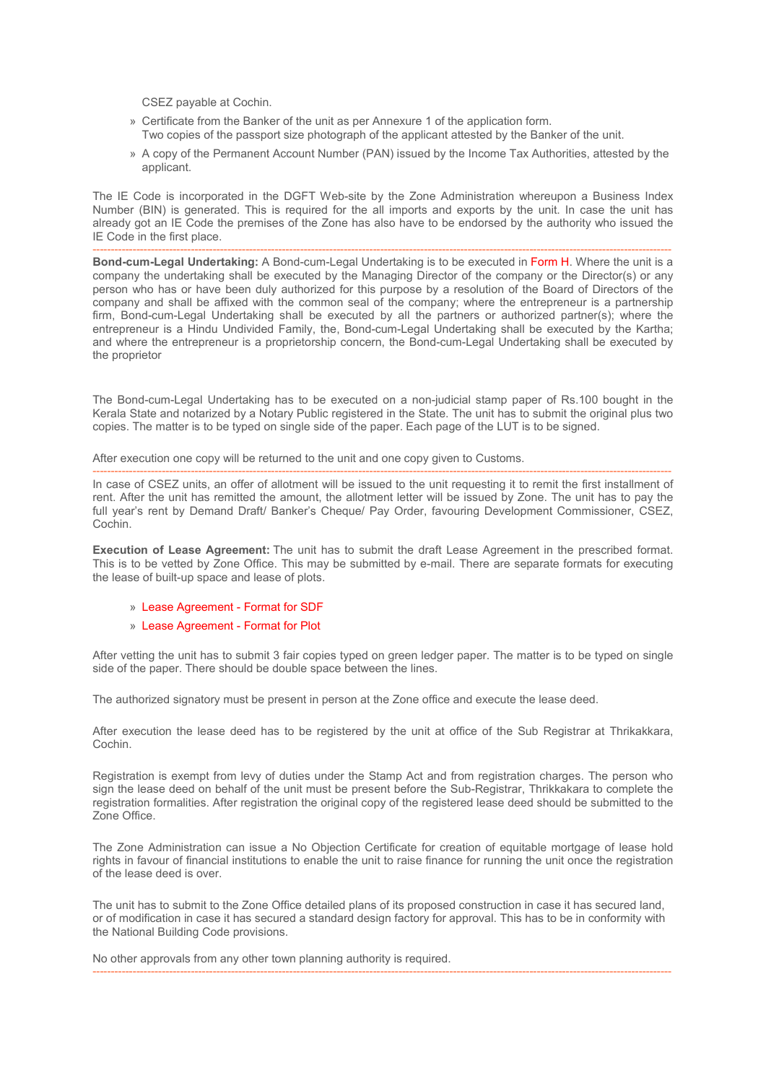CSEZ payable at Cochin.

- » Certificate from the Banker of the unit as per Annexure 1 of the application form. Two copies of the passport size photograph of the applicant attested by the Banker of the unit.
- » A copy of the Permanent Account Number (PAN) issued by the Income Tax Authorities, attested by the applicant.

The IE Code is incorporated in the DGFT Web-site by the Zone Administration whereupon a Business Index Number (BIN) is generated. This is required for the all imports and exports by the unit. In case the unit has already got an IE Code the premises of the Zone has also have to be endorsed by the authority who issued the IE Code in the first place.

--------------------------------------------------------------------------------------------------------------------------------------------------------------- **Bond-cum-Legal Undertaking:** A Bond-cum-Legal Undertaking is to be executed in Form H. Where the unit is a company the undertaking shall be executed by the Managing Director of the company or the Director(s) or any person who has or have been duly authorized for this purpose by a resolution of the Board of Directors of the company and shall be affixed with the common seal of the company; where the entrepreneur is a partnership firm, Bond-cum-Legal Undertaking shall be executed by all the partners or authorized partner(s); where the entrepreneur is a Hindu Undivided Family, the, Bond-cum-Legal Undertaking shall be executed by the Kartha; and where the entrepreneur is a proprietorship concern, the Bond-cum-Legal Undertaking shall be executed by the proprietor

The Bond-cum-Legal Undertaking has to be executed on a non-judicial stamp paper of Rs.100 bought in the Kerala State and notarized by a Notary Public registered in the State. The unit has to submit the original plus two copies. The matter is to be typed on single side of the paper. Each page of the LUT is to be signed.

After execution one copy will be returned to the unit and one copy given to Customs.

--------------------------------------------------------------------------------------------------------------------------------------------------------------- In case of CSEZ units, an offer of allotment will be issued to the unit requesting it to remit the first installment of rent. After the unit has remitted the amount, the allotment letter will be issued by Zone. The unit has to pay the full year's rent by Demand Draft/ Banker's Cheque/ Pay Order, favouring Development Commissioner, CSEZ, Cochin.

**Execution of Lease Agreement:** The unit has to submit the draft Lease Agreement in the prescribed format. This is to be vetted by Zone Office. This may be submitted by e-mail. There are separate formats for executing the lease of built-up space and lease of plots.

- » Lease Agreement Format for SDF
- » Lease Agreement Format for Plot

After vetting the unit has to submit 3 fair copies typed on green ledger paper. The matter is to be typed on single side of the paper. There should be double space between the lines.

The authorized signatory must be present in person at the Zone office and execute the lease deed.

After execution the lease deed has to be registered by the unit at office of the Sub Registrar at Thrikakkara, Cochin.

Registration is exempt from levy of duties under the Stamp Act and from registration charges. The person who sign the lease deed on behalf of the unit must be present before the Sub-Registrar, Thrikkakara to complete the registration formalities. After registration the original copy of the registered lease deed should be submitted to the Zone Office.

The Zone Administration can issue a No Objection Certificate for creation of equitable mortgage of lease hold rights in favour of financial institutions to enable the unit to raise finance for running the unit once the registration of the lease deed is over.

The unit has to submit to the Zone Office detailed plans of its proposed construction in case it has secured land, or of modification in case it has secured a standard design factory for approval. This has to be in conformity with the National Building Code provisions.

---------------------------------------------------------------------------------------------------------------------------------------------------------------

No other approvals from any other town planning authority is required.